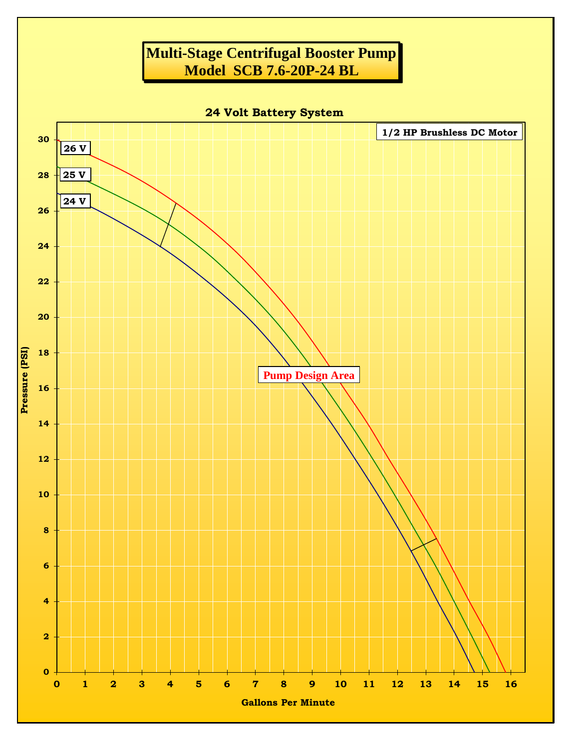## **Multi-Stage Centrifugal Booster Pump Model SCB 7.6-20P-24 BL**

**24 Volt Battery System**